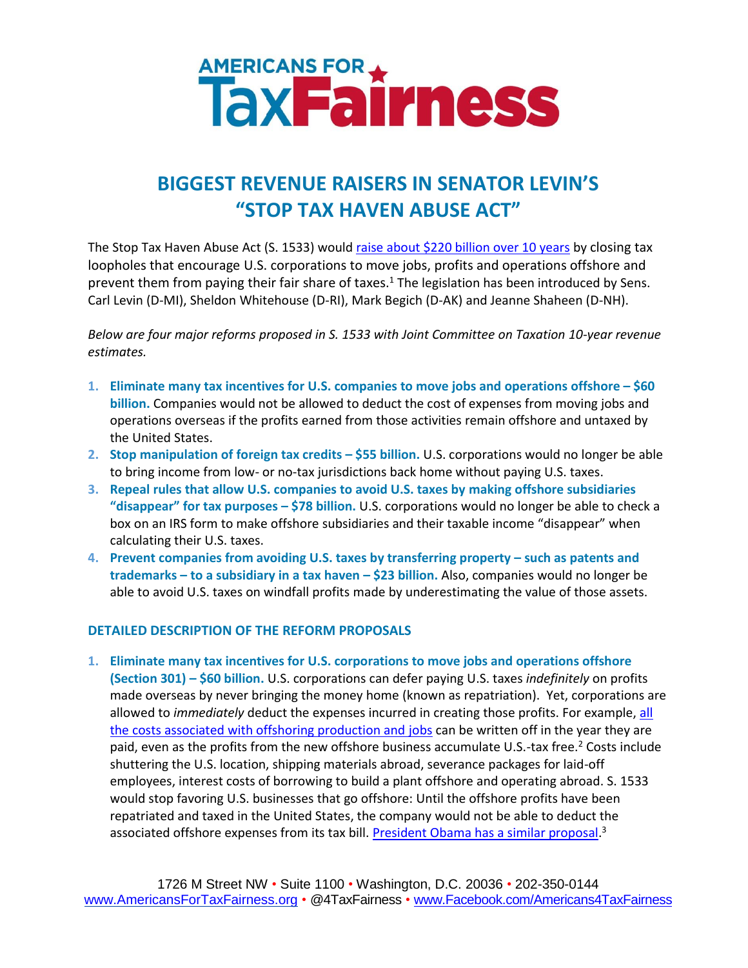## AMERICANS FOR

## **BIGGEST REVENUE RAISERS IN SENATOR LEVIN'S "STOP TAX HAVEN ABUSE ACT"**

The Stop Tax Haven Abuse Act (S. 1533) woul[d raise about \\$220 billion over 10 years](http://www.levin.senate.gov/newsroom/press/release/senators-introduce-bill-to-close-offshore-tax-loopholes/?section=alltypes#sthash.vqK8XYKZ.dpuf) by closing tax loopholes that encourage U.S. corporations to move jobs, profits and operations offshore and prevent them from paying their fair share of taxes.<sup>1</sup> The legislation has been introduced by Sens. Carl Levin (D-MI), Sheldon Whitehouse (D-RI), Mark Begich (D-AK) and Jeanne Shaheen (D-NH).

*Below are four major reforms proposed in S. 1533 with Joint Committee on Taxation 10-year revenue estimates.*

- **1. Eliminate many tax incentives for U.S. companies to move jobs and operations offshore – \$60 billion.** Companies would not be allowed to deduct the cost of expenses from moving jobs and operations overseas if the profits earned from those activities remain offshore and untaxed by the United States.
- **2. Stop manipulation of foreign tax credits – \$55 billion.** U.S. corporations would no longer be able to bring income from low- or no-tax jurisdictions back home without paying U.S. taxes.
- **3. Repeal rules that allow U.S. companies to avoid U.S. taxes by making offshore subsidiaries "disappear" for tax purposes – \$78 billion.** U.S. corporations would no longer be able to check a box on an IRS form to make offshore subsidiaries and their taxable income "disappear" when calculating their U.S. taxes.
- **4. Prevent companies from avoiding U.S. taxes by transferring property – such as patents and trademarks – to a subsidiary in a tax haven – \$23 billion.** Also, companies would no longer be able to avoid U.S. taxes on windfall profits made by underestimating the value of those assets.

## **DETAILED DESCRIPTION OF THE REFORM PROPOSALS**

**1. Eliminate many tax incentives for U.S. corporations to move jobs and operations offshore (Section 301) – \$60 billion.** U.S. corporations can defer paying U.S. taxes *indefinitely* on profits made overseas by never bringing the money home (known as repatriation). Yet, corporations are allowed to *immediately* deduct the expenses incurred in creating those profits. For example, [all](http://www.levin.senate.gov/newsroom/speeches/speech/senate-floor-statement-on-introducing-the-stop-tax-haven-abuse-act/?section=alltypes)  [the costs associated with offshoring production and](http://www.levin.senate.gov/newsroom/speeches/speech/senate-floor-statement-on-introducing-the-stop-tax-haven-abuse-act/?section=alltypes) jobs can be written off in the year they are paid, even as the profits from the new offshore business accumulate U.S.-tax free.<sup>2</sup> Costs include shuttering the U.S. location, shipping materials abroad, severance packages for laid-off employees, interest costs of borrowing to build a plant offshore and operating abroad. S. 1533 would stop favoring U.S. businesses that go offshore: Until the offshore profits have been repatriated and taxed in the United States, the company would not be able to deduct the associated offshore expenses from its tax bill. <u>President Obama has a similar proposal</u>.<sup>3</sup>